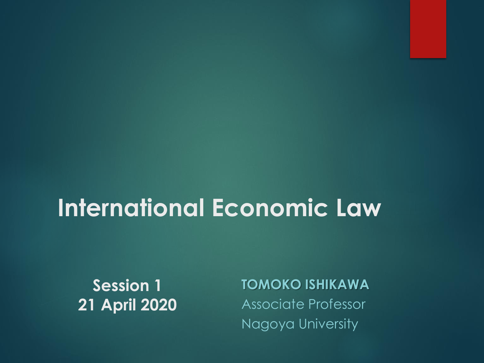#### **International Economic Law**

**Session 1 21 April 2020**

**TOMOKO ISHIKAWA** Associate Professor Nagoya University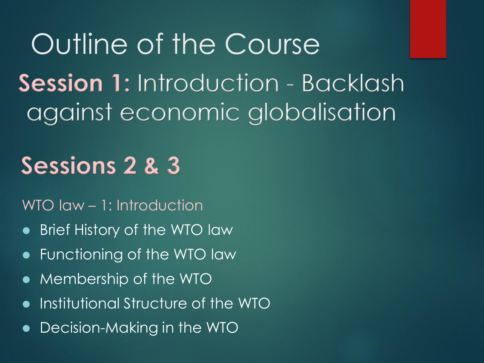Outline of the Course **Session 1:** Introduction - Backlash against economic globalisation

#### **Sessions 2 & 3**

WTO law – 1: Introduction

- ⚫ Brief History of the WTO law
- ⚫ Functioning of the WTO law
- ⚫ Membership of the WTO
- ⚫ Institutional Structure of the WTO
- ⚫ Decision-Making in the WTO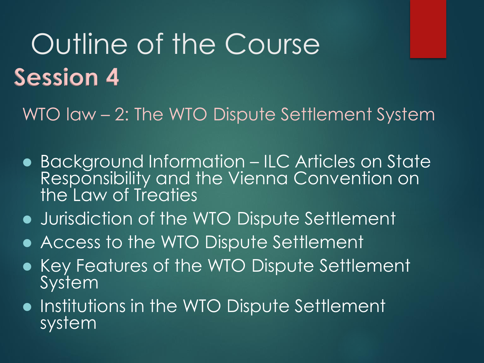## Outline of the Course **Session 4**

WTO law - 2: The WTO Dispute Settlement System

- ⚫ Background Information ILC Articles on State Responsibility and the Vienna Convention on the Law of Treaties
- ⚫ Jurisdiction of the WTO Dispute Settlement
- ⚫ Access to the WTO Dispute Settlement
- ⚫ Key Features of the WTO Dispute Settlement System
- ⚫ Institutions in the WTO Dispute Settlement system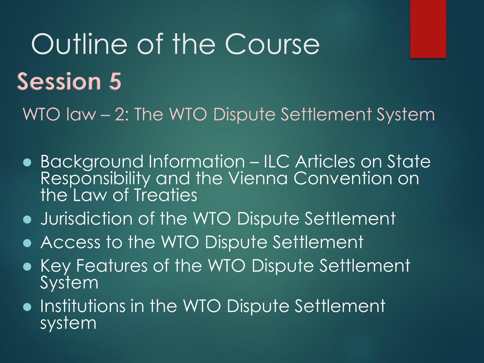# Outline of the Course **Session 5**

WTO law – 2: The WTO Dispute Settlement System

- ⚫ Background Information ILC Articles on State Responsibility and the Vienna Convention on the Law of Treaties
- ⚫ Jurisdiction of the WTO Dispute Settlement
- ⚫ Access to the WTO Dispute Settlement
- ⚫ Key Features of the WTO Dispute Settlement System
- ⚫ Institutions in the WTO Dispute Settlement system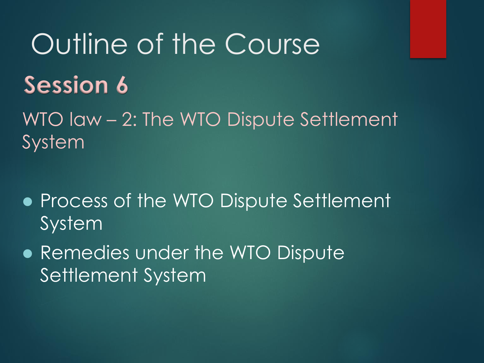## Outline of the Course **Session 6**

WTO law – 2: The WTO Dispute Settlement System

- ⚫ Process of the WTO Dispute Settlement System
- ⚫ Remedies under the WTO Dispute Settlement System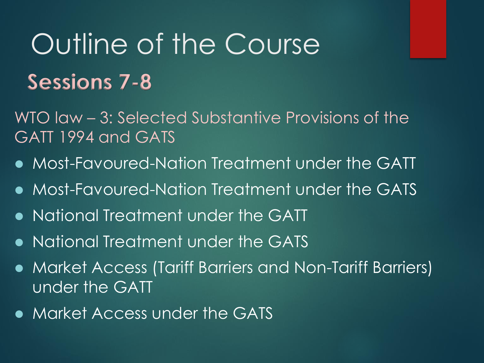## Outline of the Course **Sessions 7-8**

WTO law – 3: Selected Substantive Provisions of the GATT 1994 and GATS

- ⚫ Most-Favoured-Nation Treatment under the GATT
- ⚫ Most-Favoured-Nation Treatment under the GATS
- ⚫ National Treatment under the GATT
- ⚫ National Treatment under the GATS
- ⚫ Market Access (Tariff Barriers and Non-Tariff Barriers) under the GATT
- ⚫ Market Access under the GATS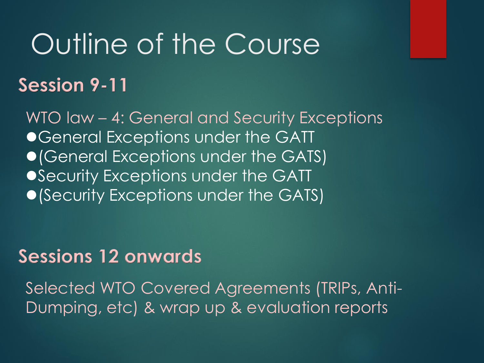## Outline of the Course

#### **Session 9-11**

WTO law – 4: General and Security Exceptions ● General Exceptions under the GATT ● (General Exceptions under the GATS) ●Security Exceptions under the GATT ⚫(Security Exceptions under the GATS)

#### **Sessions 12 onwards**

Selected WTO Covered Agreements (TRIPs, Anti-Dumping, etc) & wrap up & evaluation reports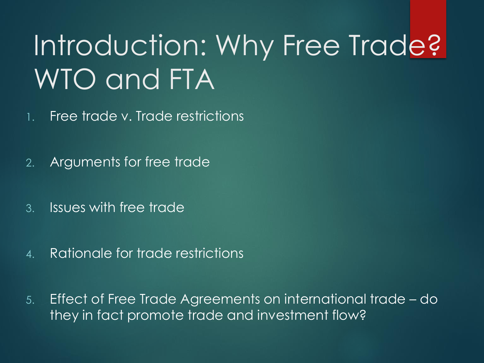## Introduction: Why Free Trade? WTO and FTA

1. Free trade v. Trade restrictions

- 2. Arguments for free trade
- 3. Issues with free trade
- 4. Rationale for trade restrictions
- 5. Effect of Free Trade Agreements on international trade do they in fact promote trade and investment flow?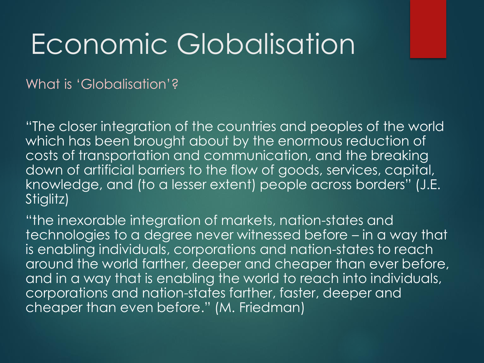What is 'Globalisation'?

"The closer integration of the countries and peoples of the world which has been brought about by the enormous reduction of costs of transportation and communication, and the breaking down of artificial barriers to the flow of goods, services, capital, knowledge, and (to a lesser extent) people across borders" (J.E. Stiglitz)

"the inexorable integration of markets, nation-states and technologies to a degree never witnessed before – in a way that is enabling individuals, corporations and nation-states to reach around the world farther, deeper and cheaper than ever before, and in a way that is enabling the world to reach into individuals, corporations and nation-states farther, faster, deeper and cheaper than even before." (M. Friedman)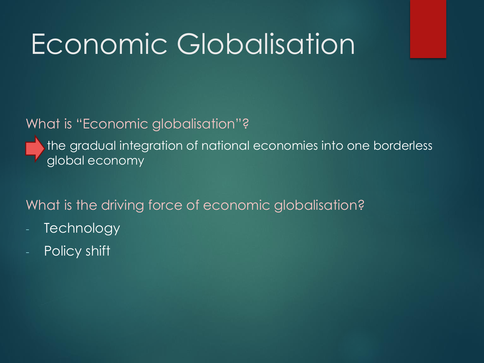#### What is "Economic globalisation"?

the gradual integration of national economies into one borderless global economy

What is the driving force of economic globalisation?

- **Technology**
- Policy shift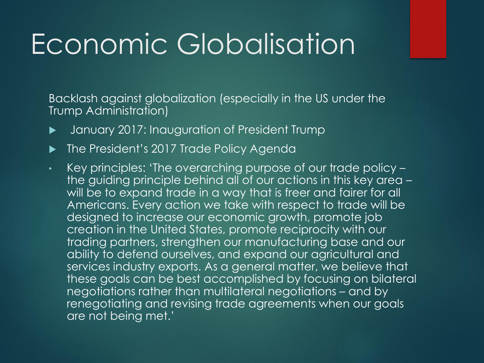Backlash against globalization (especially in the US under the Trump Administration)

- January 2017: Inauguration of President Trump
- ▶ The President's 2017 Trade Policy Agenda
- Key principles: 'The overarching purpose of our trade policy the guiding principle behind all of our actions in this key area – will be to expand trade in a way that is freer and fairer for all Americans. Every action we take with respect to trade will be designed to increase our economic growth, promote job creation in the United States, promote reciprocity with our trading partners, strengthen our manufacturing base and our ability to defend ourselves, and expand our agricultural and services industry exports. As a general matter, we believe that these goals can be best accomplished by focusing on bilateral negotiations rather than multilateral negotiations – and by renegotiating and revising trade agreements when our goals are not being met.'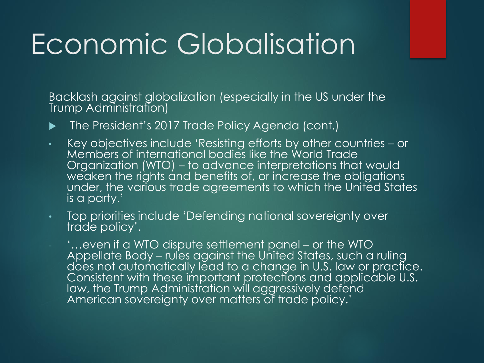Backlash against globalization (especially in the US under the Trump Administration)

- ▶ The President's 2017 Trade Policy Agenda (cont.)
- Key objectives include 'Resisting efforts by other countries or Members of international bodies like the World Trade Organization (WTO) – to advance interpretations that would weaken the rights and benefits of, or increase the obligations under, the various trade agreements to which the United States is a party.'
- Top priorities include 'Defending national sovereignty over trade policy'.
- '…even if a WTO dispute settlement panel or the WTO Appellate Body – rules against the United States, such a ruling does not automatically lead to a change in U.S. law or practice. Consistent with these important protections and applicable U.S. law, the Trump Administration will aggressively defend American sovereignty over matters of trade policy.'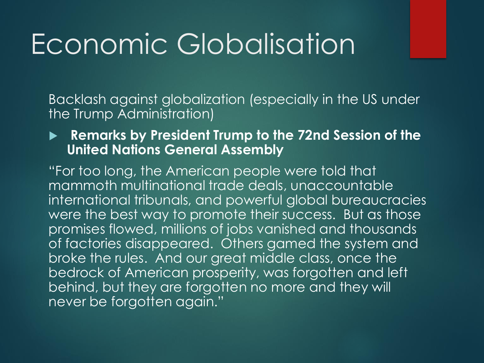Backlash against globalization (especially in the US under the Trump Administration)

#### **Remarks by President Trump to the 72nd Session of the United Nations General Assembly**

"For too long, the American people were told that mammoth multinational trade deals, unaccountable international tribunals, and powerful global bureaucracies were the best way to promote their success. But as those promises flowed, millions of jobs vanished and thousands of factories disappeared. Others gamed the system and broke the rules. And our great middle class, once the bedrock of American prosperity, was forgotten and left behind, but they are forgotten no more and they will never be forgotten again."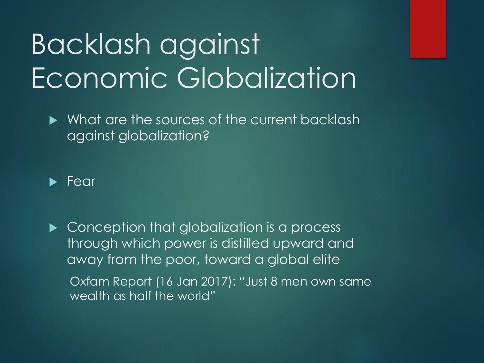## Backlash against Economic Globalization

What are the sources of the current backlash against globalization?



Conception that globalization is a process through which power is distilled upward and away from the poor, toward a global elite

Oxfam Report (16 Jan 2017): "Just 8 men own same wealth as half the world"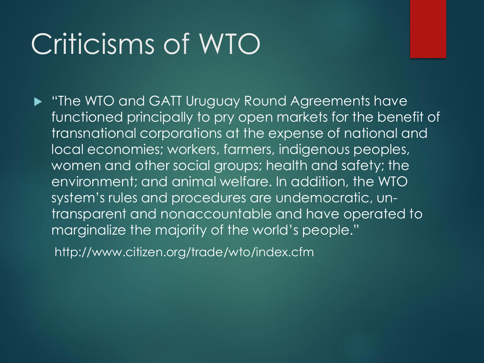### Criticisms of WTO

**F** "The WTO and GATT Uruguay Round Agreements have functioned principally to pry open markets for the benefit of transnational corporations at the expense of national and local economies; workers, farmers, indigenous peoples, women and other social groups; health and safety; the environment; and animal welfare. In addition, the WTO system's rules and procedures are undemocratic, untransparent and nonaccountable and have operated to marginalize the majority of the world's people."

http://www.citizen.org/trade/wto/index.cfm